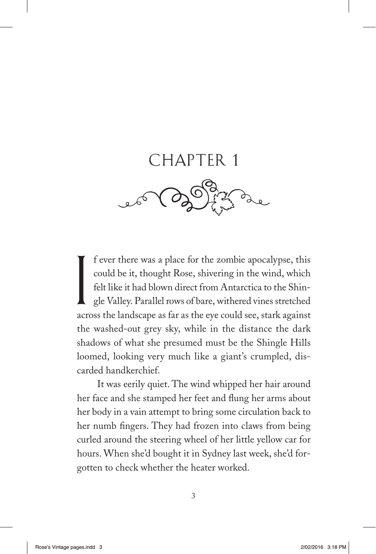## CHAPTER 1

I f ever there was a place for the zombie apocalypse, this could be it, thought Rose, shivering in the wind, which felt like it had blown direct from Antarctica to the Shingle Valley. Parallel rows of bare, withered vines f ever there was a place for the zombie apocalypse, this could be it, thought Rose, shivering in the wind, which felt like it had blown direct from Antarctica to the Shingle Valley. Parallel rows of bare, withered vines stretched the washed-out grey sky, while in the distance the dark shadows of what she presumed must be the Shingle Hills loomed, looking very much like a giant's crumpled, discarded handkerchief.

It was eerily quiet. The wind whipped her hair around her face and she stamped her feet and flung her arms about her body in a vain attempt to bring some circulation back to her numb fingers. They had frozen into claws from being curled around the steering wheel of her little yellow car for hours. When she'd bought it in Sydney last week, she'd forgotten to check whether the heater worked.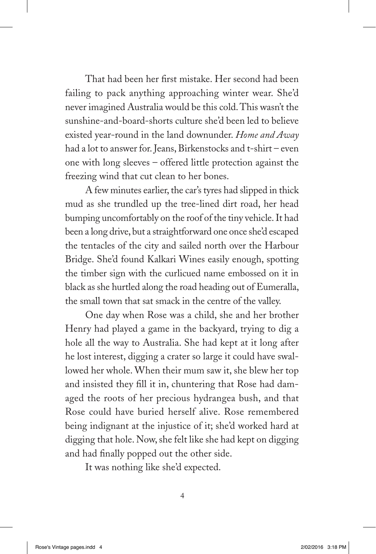That had been her first mistake. Her second had been failing to pack anything approaching winter wear. She'd never imagined Australia would be this cold. This wasn't the sunshine-and-board-shorts culture she'd been led to believe existed year-round in the land downunder. *Home and Away* had a lot to answer for. Jeans, Birkenstocks and t-shirt – even one with long sleeves – offered little protection against the freezing wind that cut clean to her bones.

A few minutes earlier, the car's tyres had slipped in thick mud as she trundled up the tree-lined dirt road, her head bumping uncomfortably on the roof of the tiny vehicle. It had been a long drive, but a straightforward one once she'd escaped the tentacles of the city and sailed north over the Harbour Bridge. She'd found Kalkari Wines easily enough, spotting the timber sign with the curlicued name embossed on it in black as she hurtled along the road heading out of Eumeralla, the small town that sat smack in the centre of the valley.

One day when Rose was a child, she and her brother Henry had played a game in the backyard, trying to dig a hole all the way to Australia. She had kept at it long after he lost interest, digging a crater so large it could have swallowed her whole. When their mum saw it, she blew her top and insisted they fill it in, chuntering that Rose had damaged the roots of her precious hydrangea bush, and that Rose could have buried herself alive. Rose remembered being indignant at the injustice of it; she'd worked hard at digging that hole. Now, she felt like she had kept on digging and had finally popped out the other side.

It was nothing like she'd expected.

4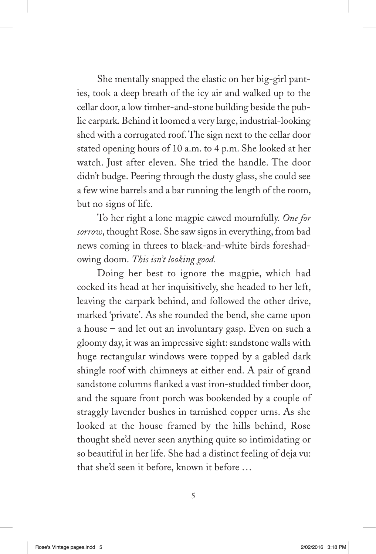She mentally snapped the elastic on her big-girl panties, took a deep breath of the icy air and walked up to the cellar door, a low timber-and-stone building beside the public carpark. Behind it loomed a very large, industrial-looking shed with a corrugated roof. The sign next to the cellar door stated opening hours of 10 a.m. to 4 p.m. She looked at her watch. Just after eleven. She tried the handle. The door didn't budge. Peering through the dusty glass, she could see a few wine barrels and a bar running the length of the room, but no signs of life.

To her right a lone magpie cawed mournfully. *One for sorrow*, thought Rose. She saw signs in everything, from bad news coming in threes to black-and-white birds foreshadowing doom. *This isn't looking good.*

Doing her best to ignore the magpie, which had cocked its head at her inquisitively, she headed to her left, leaving the carpark behind, and followed the other drive, marked 'private'. As she rounded the bend, she came upon a house – and let out an involuntary gasp. Even on such a gloomy day, it was an impressive sight: sandstone walls with huge rectangular windows were topped by a gabled dark shingle roof with chimneys at either end. A pair of grand sandstone columns flanked a vast iron-studded timber door, and the square front porch was bookended by a couple of straggly lavender bushes in tarnished copper urns. As she looked at the house framed by the hills behind, Rose thought she'd never seen anything quite so intimidating or so beautiful in her life. She had a distinct feeling of deja vu: that she'd seen it before, known it before ...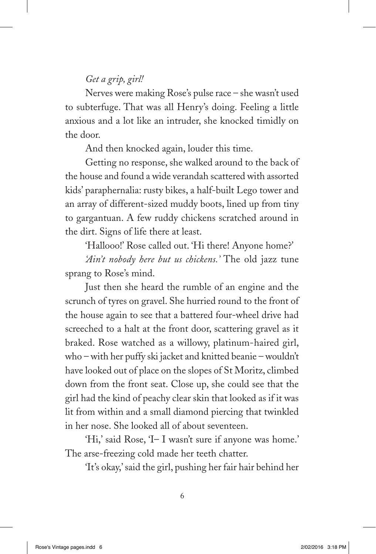## *Get a grip, girl!*

Nerves were making Rose's pulse race – she wasn't used to subterfuge. That was all Henry's doing. Feeling a little anxious and a lot like an intruder, she knocked timidly on the door.

And then knocked again, louder this time.

Getting no response, she walked around to the back of the house and found a wide verandah scattered with assorted kids' paraphernalia: rusty bikes, a half-built Lego tower and an array of different-sized muddy boots, lined up from tiny to gargantuan. A few ruddy chickens scratched around in the dirt. Signs of life there at least.

'Hallooo!' Rose called out. 'Hi there! Anyone home?'

*'Ain't nobody here but us chickens.'* The old jazz tune sprang to Rose's mind.

Just then she heard the rumble of an engine and the scrunch of tyres on gravel. She hurried round to the front of the house again to see that a battered four-wheel drive had screeched to a halt at the front door, scattering gravel as it braked. Rose watched as a willowy, platinum-haired girl, who – with her puffy ski jacket and knitted beanie – wouldn't have looked out of place on the slopes of St Moritz, climbed down from the front seat. Close up, she could see that the girl had the kind of peachy clear skin that looked as if it was lit from within and a small diamond piercing that twinkled in her nose. She looked all of about seventeen.

'Hi,' said Rose, 'I– I wasn't sure if anyone was home.' The arse-freezing cold made her teeth chatter.

'It's okay,' said the girl, pushing her fair hair behind her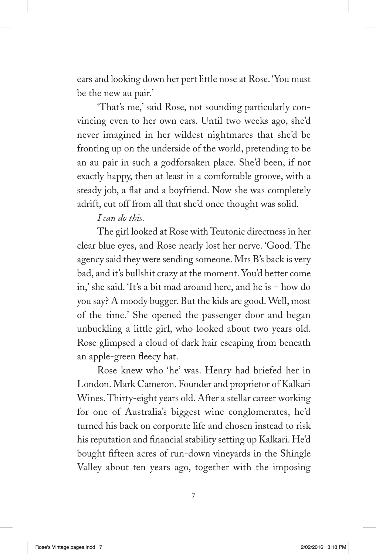ears and looking down her pert little nose at Rose. 'You must be the new au pair.'

'That's me,' said Rose, not sounding particularly convincing even to her own ears. Until two weeks ago, she'd never imagined in her wildest nightmares that she'd be fronting up on the underside of the world, pretending to be an au pair in such a godforsaken place. She'd been, if not exactly happy, then at least in a comfortable groove, with a steady job, a flat and a boyfriend. Now she was completely adrift, cut off from all that she'd once thought was solid.

## *I can do this.*

The girl looked at Rose with Teutonic directness in her clear blue eyes, and Rose nearly lost her nerve. 'Good. The agency said they were sending someone. Mrs B's back is very bad, and it's bullshit crazy at the moment. You'd better come in,' she said. 'It's a bit mad around here, and he is – how do you say? A moody bugger. But the kids are good. Well, most of the time.' She opened the passenger door and began unbuckling a little girl, who looked about two years old. Rose glimpsed a cloud of dark hair escaping from beneath an apple-green fleecy hat.

Rose knew who 'he' was. Henry had briefed her in London. Mark Cameron. Founder and proprietor of Kalkari Wines. Thirty-eight years old. After a stellar career working for one of Australia's biggest wine conglomerates, he'd turned his back on corporate life and chosen instead to risk his reputation and financial stability setting up Kalkari. He'd bought fifteen acres of run-down vineyards in the Shingle Valley about ten years ago, together with the imposing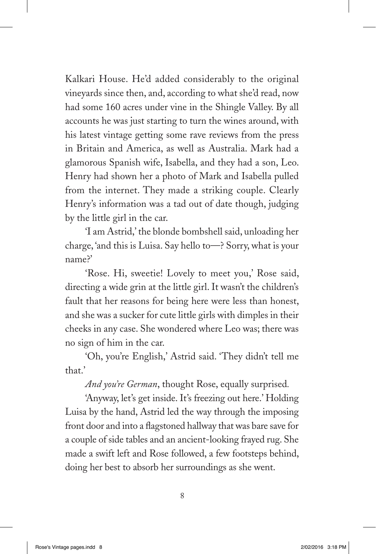Kalkari House. He'd added considerably to the original vineyards since then, and, according to what she'd read, now had some 160 acres under vine in the Shingle Valley. By all accounts he was just starting to turn the wines around, with his latest vintage getting some rave reviews from the press in Britain and America, as well as Australia. Mark had a glamorous Spanish wife, Isabella, and they had a son, Leo. Henry had shown her a photo of Mark and Isabella pulled from the internet. They made a striking couple. Clearly Henry's information was a tad out of date though, judging by the little girl in the car.

'I am Astrid,' the blonde bombshell said, unloading her charge, 'and this is Luisa. Say hello to—? Sorry, what is your name?'

'Rose. Hi, sweetie! Lovely to meet you,' Rose said, directing a wide grin at the little girl. It wasn't the children's fault that her reasons for being here were less than honest, and she was a sucker for cute little girls with dimples in their cheeks in any case. She wondered where Leo was; there was no sign of him in the car.

'Oh, you're English,' Astrid said. 'They didn't tell me that.'

*And you're German*, thought Rose, equally surprised*.*

'Anyway, let's get inside. It's freezing out here.' Holding Luisa by the hand, Astrid led the way through the imposing front door and into a flagstoned hallway that was bare save for a couple of side tables and an ancient-looking frayed rug. She made a swift left and Rose followed, a few footsteps behind, doing her best to absorb her surroundings as she went.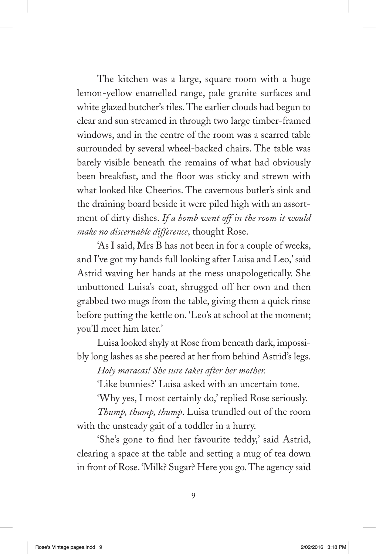The kitchen was a large, square room with a huge lemon-yellow enamelled range, pale granite surfaces and white glazed butcher's tiles. The earlier clouds had begun to clear and sun streamed in through two large timber-framed windows, and in the centre of the room was a scarred table surrounded by several wheel-backed chairs. The table was barely visible beneath the remains of what had obviously been breakfast, and the floor was sticky and strewn with what looked like Cheerios. The cavernous butler's sink and the draining board beside it were piled high with an assortment of dirty dishes. *If a bomb went off in the room it would make no discernable difference*, thought Rose.

'As I said, Mrs B has not been in for a couple of weeks, and I've got my hands full looking after Luisa and Leo,' said Astrid waving her hands at the mess unapologetically. She unbuttoned Luisa's coat, shrugged off her own and then grabbed two mugs from the table, giving them a quick rinse before putting the kettle on. 'Leo's at school at the moment; you'll meet him later.'

Luisa looked shyly at Rose from beneath dark, impossibly long lashes as she peered at her from behind Astrid's legs.

*Holy maracas! She sure takes after her mother.*

'Like bunnies?' Luisa asked with an uncertain tone.

'Why yes, I most certainly do,' replied Rose seriously.

*Thump, thump, thump*. Luisa trundled out of the room with the unsteady gait of a toddler in a hurry.

'She's gone to find her favourite teddy,' said Astrid, clearing a space at the table and setting a mug of tea down in front of Rose. 'Milk? Sugar? Here you go. The agency said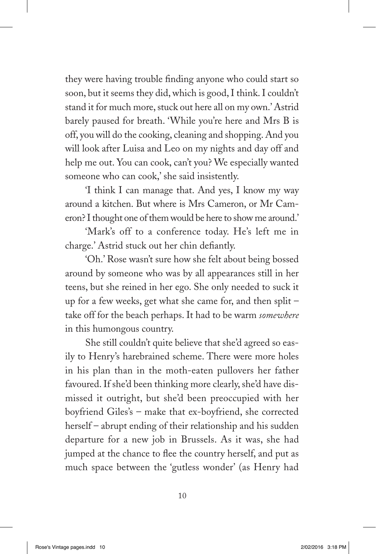they were having trouble finding anyone who could start so soon, but it seems they did, which is good, I think. I couldn't stand it for much more, stuck out here all on my own.' Astrid barely paused for breath. 'While you're here and Mrs B is off, you will do the cooking, cleaning and shopping. And you will look after Luisa and Leo on my nights and day off and help me out. You can cook, can't you? We especially wanted someone who can cook,' she said insistently.

'I think I can manage that. And yes, I know my way around a kitchen. But where is Mrs Cameron, or Mr Cameron? I thought one of them would be here to show me around.'

'Mark's off to a conference today. He's left me in charge.' Astrid stuck out her chin defiantly.

'Oh.' Rose wasn't sure how she felt about being bossed around by someone who was by all appearances still in her teens, but she reined in her ego. She only needed to suck it up for a few weeks, get what she came for, and then split – take off for the beach perhaps. It had to be warm *somewhere* in this humongous country.

She still couldn't quite believe that she'd agreed so easily to Henry's harebrained scheme. There were more holes in his plan than in the moth-eaten pullovers her father favoured. If she'd been thinking more clearly, she'd have dismissed it outright, but she'd been preoccupied with her boyfriend Giles's – make that ex-boyfriend, she corrected herself – abrupt ending of their relationship and his sudden departure for a new job in Brussels. As it was, she had jumped at the chance to flee the country herself, and put as much space between the 'gutless wonder' (as Henry had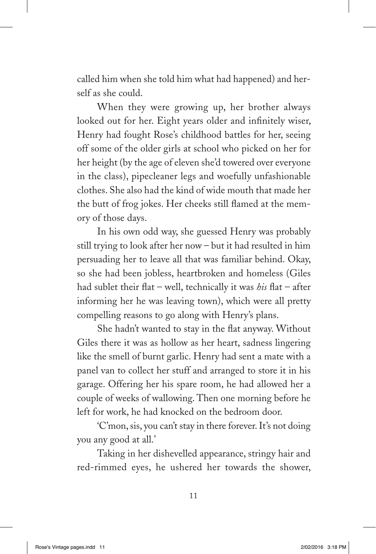called him when she told him what had happened) and herself as she could.

When they were growing up, her brother always looked out for her. Eight years older and infinitely wiser, Henry had fought Rose's childhood battles for her, seeing off some of the older girls at school who picked on her for her height (by the age of eleven she'd towered over everyone in the class), pipecleaner legs and woefully unfashionable clothes. She also had the kind of wide mouth that made her the butt of frog jokes. Her cheeks still flamed at the memory of those days.

In his own odd way, she guessed Henry was probably still trying to look after her now – but it had resulted in him persuading her to leave all that was familiar behind. Okay, so she had been jobless, heartbroken and homeless (Giles had sublet their flat – well, technically it was *his* flat – after informing her he was leaving town), which were all pretty compelling reasons to go along with Henry's plans.

She hadn't wanted to stay in the flat anyway. Without Giles there it was as hollow as her heart, sadness lingering like the smell of burnt garlic. Henry had sent a mate with a panel van to collect her stuff and arranged to store it in his garage. Offering her his spare room, he had allowed her a couple of weeks of wallowing. Then one morning before he left for work, he had knocked on the bedroom door.

'C'mon, sis, you can't stay in there forever. It's not doing you any good at all.'

Taking in her dishevelled appearance, stringy hair and red-rimmed eyes, he ushered her towards the shower,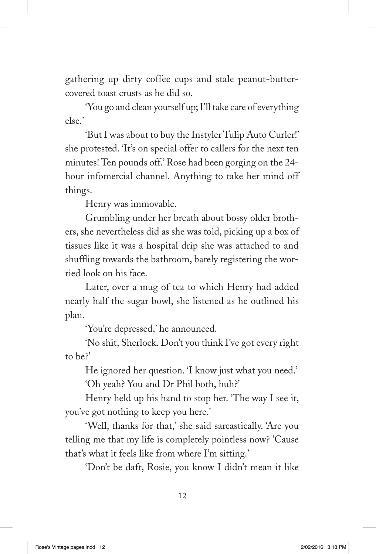gathering up dirty coffee cups and stale peanut-buttercovered toast crusts as he did so.

'You go and clean yourself up; I'll take care of everything else.'

'But I was about to buy the Instyler Tulip Auto Curler!' she protested. 'It's on special offer to callers for the next ten minutes! Ten pounds off.' Rose had been gorging on the 24 hour infomercial channel. Anything to take her mind off things.

Henry was immovable.

Grumbling under her breath about bossy older brothers, she nevertheless did as she was told, picking up a box of tissues like it was a hospital drip she was attached to and shuffling towards the bathroom, barely registering the worried look on his face.

Later, over a mug of tea to which Henry had added nearly half the sugar bowl, she listened as he outlined his plan.

'You're depressed,' he announced.

'No shit, Sherlock. Don't you think I've got every right to be?'

He ignored her question. 'I know just what you need.'

'Oh yeah? You and Dr Phil both, huh?'

Henry held up his hand to stop her. 'The way I see it, you've got nothing to keep you here.'

'Well, thanks for that,' she said sarcastically. 'Are you telling me that my life is completely pointless now? 'Cause that's what it feels like from where I'm sitting.'

'Don't be daft, Rosie, you know I didn't mean it like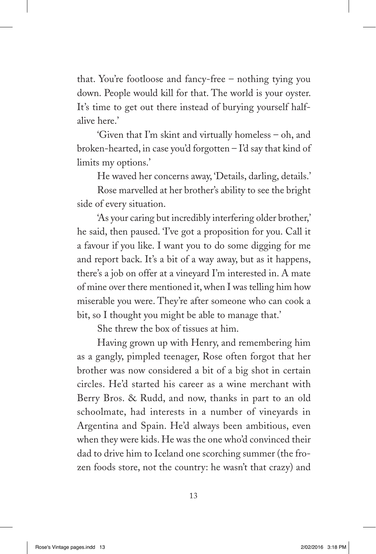that. You're footloose and fancy-free – nothing tying you down. People would kill for that. The world is your oyster. It's time to get out there instead of burying yourself halfalive here.'

'Given that I'm skint and virtually homeless – oh, and broken-hearted, in case you'd forgotten – I'd say that kind of limits my options.'

He waved her concerns away, 'Details, darling, details.'

Rose marvelled at her brother's ability to see the bright side of every situation.

'As your caring but incredibly interfering older brother,' he said, then paused. 'I've got a proposition for you. Call it a favour if you like. I want you to do some digging for me and report back. It's a bit of a way away, but as it happens, there's a job on offer at a vineyard I'm interested in. A mate of mine over there mentioned it, when I was telling him how miserable you were. They're after someone who can cook a bit, so I thought you might be able to manage that.'

She threw the box of tissues at him.

Having grown up with Henry, and remembering him as a gangly, pimpled teenager, Rose often forgot that her brother was now considered a bit of a big shot in certain circles. He'd started his career as a wine merchant with Berry Bros. & Rudd, and now, thanks in part to an old schoolmate, had interests in a number of vineyards in Argentina and Spain. He'd always been ambitious, even when they were kids. He was the one who'd convinced their dad to drive him to Iceland one scorching summer (the frozen foods store, not the country: he wasn't that crazy) and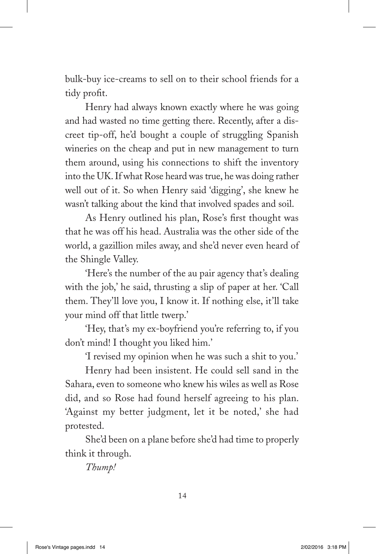bulk-buy ice-creams to sell on to their school friends for a tidy profit.

Henry had always known exactly where he was going and had wasted no time getting there. Recently, after a discreet tip-off, he'd bought a couple of struggling Spanish wineries on the cheap and put in new management to turn them around, using his connections to shift the inventory into the UK. If what Rose heard was true, he was doing rather well out of it. So when Henry said 'digging', she knew he wasn't talking about the kind that involved spades and soil.

As Henry outlined his plan, Rose's first thought was that he was off his head. Australia was the other side of the world, a gazillion miles away, and she'd never even heard of the Shingle Valley.

'Here's the number of the au pair agency that's dealing with the job,' he said, thrusting a slip of paper at her. 'Call them. They'll love you, I know it. If nothing else, it'll take your mind off that little twerp.'

'Hey, that's my ex-boyfriend you're referring to, if you don't mind! I thought you liked him.'

'I revised my opinion when he was such a shit to you.'

Henry had been insistent. He could sell sand in the Sahara, even to someone who knew his wiles as well as Rose did, and so Rose had found herself agreeing to his plan. 'Against my better judgment, let it be noted,' she had protested.

She'd been on a plane before she'd had time to properly think it through.

*Thump!*